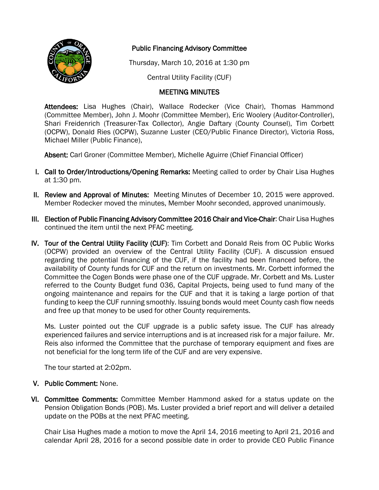

## Public Financing Advisory Committee

Thursday, March 10, 2016 at 1:30 pm

Central Utility Facility (CUF)

## MEETING MINUTES

Attendees: Lisa Hughes (Chair), Wallace Rodecker (Vice Chair), Thomas Hammond (Committee Member), John J. Moohr (Committee Member), Eric Woolery (Auditor-Controller), Shari Freidenrich (Treasurer-Tax Collector), Angie Daftary (County Counsel), Tim Corbett (OCPW), Donald Ries (OCPW), Suzanne Luster (CEO/Public Finance Director), Victoria Ross, Michael Miller (Public Finance),

Absent: Carl Groner (Committee Member), Michelle Aguirre (Chief Financial Officer)

- I. Call to Order/Introductions/Opening Remarks: Meeting called to order by Chair Lisa Hughes at 1:30 pm.
- II. Review and Approval of Minutes: Meeting Minutes of December 10, 2015 were approved. Member Rodecker moved the minutes, Member Moohr seconded, approved unanimously.
- III. Election of Public Financing Advisory Committee 2016 Chair and Vice-Chair: Chair Lisa Hughes continued the item until the next PFAC meeting.
- IV. Tour of the Central Utility Facility (CUF): Tim Corbett and Donald Reis from OC Public Works (OCPW) provided an overview of the Central Utility Facility (CUF). A discussion ensued regarding the potential financing of the CUF, if the facility had been financed before, the availability of County funds for CUF and the return on investments. Mr. Corbett informed the Committee the Cogen Bonds were phase one of the CUF upgrade. Mr. Corbett and Ms. Luster referred to the County Budget fund 036, Capital Projects, being used to fund many of the ongoing maintenance and repairs for the CUF and that it is taking a large portion of that funding to keep the CUF running smoothly. Issuing bonds would meet County cash flow needs and free up that money to be used for other County requirements.

Ms. Luster pointed out the CUF upgrade is a public safety issue. The CUF has already experienced failures and service interruptions and is at increased risk for a major failure. Mr. Reis also informed the Committee that the purchase of temporary equipment and fixes are not beneficial for the long term life of the CUF and are very expensive.

The tour started at 2:02pm.

## V. Public Comment: None.

VI. Committee Comments: Committee Member Hammond asked for a status update on the Pension Obligation Bonds (POB). Ms. Luster provided a brief report and will deliver a detailed update on the POBs at the next PFAC meeting.

Chair Lisa Hughes made a motion to move the April 14, 2016 meeting to April 21, 2016 and calendar April 28, 2016 for a second possible date in order to provide CEO Public Finance